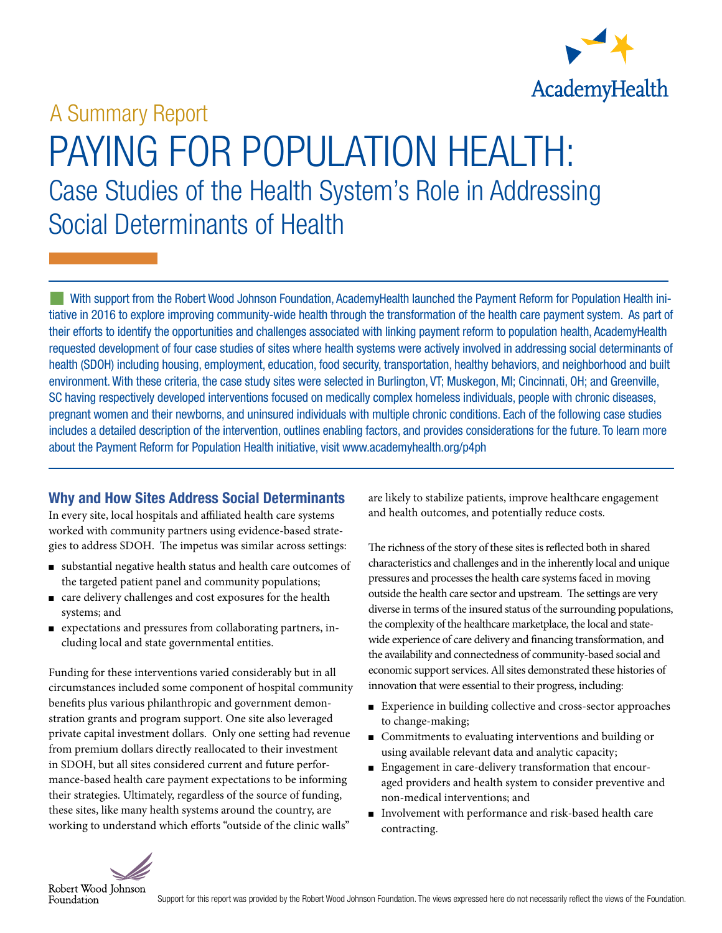

# PAYING FOR POPULATION HEALTH: Case Studies of the Health System's Role in Addressing Social Determinants of Health A Summary Report

With support from the Robert Wood Johnson Foundation, AcademyHealth launched the Payment Reform for Population Health initiative in 2016 to explore improving community-wide health through the transformation of the health care payment system. As part of their efforts to identify the opportunities and challenges associated with linking payment reform to population health, AcademyHealth requested development of four case studies of sites where health systems were actively involved in addressing social determinants of health (SDOH) including housing, employment, education, food security, transportation, healthy behaviors, and neighborhood and built environment. With these criteria, the case study sites were selected in Burlington, VT; Muskegon, MI; Cincinnati, OH; and Greenville, SC having respectively developed interventions focused on medically complex homeless individuals, people with chronic diseases, pregnant women and their newborns, and uninsured individuals with multiple chronic conditions. Each of the following case studies includes a detailed description of the intervention, outlines enabling factors, and provides considerations for the future. To learn more about the Payment Reform for Population Health initiative, visit www.academyhealth.org/p4ph

#### Why and How Sites Address Social Determinants

In every site, local hospitals and affiliated health care systems worked with community partners using evidence-based strategies to address SDOH. The impetus was similar across settings:

- <sup>n</sup> substantial negative health status and health care outcomes of the targeted patient panel and community populations;
- ncare delivery challenges and cost exposures for the health systems; and
- n expectations and pressures from collaborating partners, including local and state governmental entities.

Funding for these interventions varied considerably but in all circumstances included some component of hospital community benefits plus various philanthropic and government demonstration grants and program support. One site also leveraged private capital investment dollars. Only one setting had revenue from premium dollars directly reallocated to their investment in SDOH, but all sites considered current and future performance-based health care payment expectations to be informing their strategies. Ultimately, regardless of the source of funding, these sites, like many health systems around the country, are working to understand which efforts "outside of the clinic walls"

are likely to stabilize patients, improve healthcare engagement and health outcomes, and potentially reduce costs.

The richness of the story of these sites is reflected both in shared characteristics and challenges and in the inherently local and unique pressures and processes the health care systems faced in moving outside the health care sector and upstream. The settings are very diverse in terms of the insured status of the surrounding populations, the complexity of the healthcare marketplace, the local and statewide experience of care delivery and financing transformation, and the availability and connectedness of community-based social and economic support services. All sites demonstrated these histories of innovation that were essential to their progress, including:

- Experience in building collective and cross-sector approaches to change-making;
- Commitments to evaluating interventions and building or using available relevant data and analytic capacity;
- n Engagement in care-delivery transformation that encouraged providers and health system to consider preventive and non-medical interventions; and
- nInvolvement with performance and risk-based health care contracting.

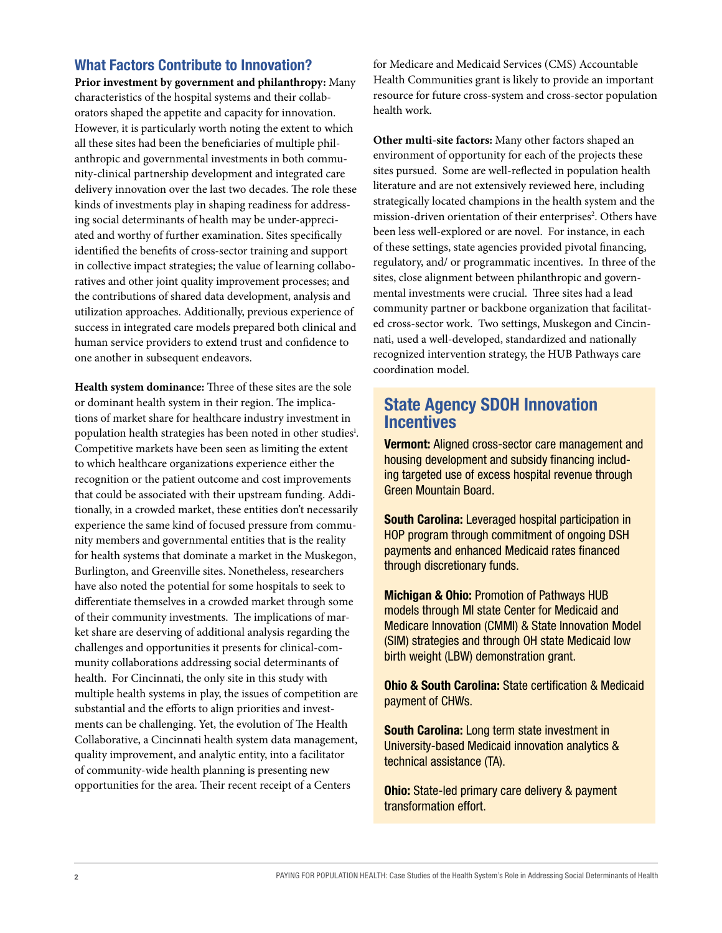#### What Factors Contribute to Innovation?

**Prior investment by government and philanthropy:** Many characteristics of the hospital systems and their collaborators shaped the appetite and capacity for innovation. However, it is particularly worth noting the extent to which all these sites had been the beneficiaries of multiple philanthropic and governmental investments in both community-clinical partnership development and integrated care delivery innovation over the last two decades. The role these kinds of investments play in shaping readiness for addressing social determinants of health may be under-appreciated and worthy of further examination. Sites specifically identified the benefits of cross-sector training and support in collective impact strategies; the value of learning collaboratives and other joint quality improvement processes; and the contributions of shared data development, analysis and utilization approaches. Additionally, previous experience of success in integrated care models prepared both clinical and human service providers to extend trust and confidence to one another in subsequent endeavors.

**Health system dominance:** Three of these sites are the sole or dominant health system in their region. The implications of market share for healthcare industry investment in population health strategies has been noted in other studies<sup>1</sup>. Competitive markets have been seen as limiting the extent to which healthcare organizations experience either the recognition or the patient outcome and cost improvements that could be associated with their upstream funding. Additionally, in a crowded market, these entities don't necessarily experience the same kind of focused pressure from community members and governmental entities that is the reality for health systems that dominate a market in the Muskegon, Burlington, and Greenville sites. Nonetheless, researchers have also noted the potential for some hospitals to seek to differentiate themselves in a crowded market through some of their community investments. The implications of market share are deserving of additional analysis regarding the challenges and opportunities it presents for clinical-community collaborations addressing social determinants of health. For Cincinnati, the only site in this study with multiple health systems in play, the issues of competition are substantial and the efforts to align priorities and investments can be challenging. Yet, the evolution of The Health Collaborative, a Cincinnati health system data management, quality improvement, and analytic entity, into a facilitator of community-wide health planning is presenting new opportunities for the area. Their recent receipt of a Centers

for Medicare and Medicaid Services (CMS) Accountable Health Communities grant is likely to provide an important resource for future cross-system and cross-sector population health work.

**Other multi-site factors:** Many other factors shaped an environment of opportunity for each of the projects these sites pursued. Some are well-reflected in population health literature and are not extensively reviewed here, including strategically located champions in the health system and the mission-driven orientation of their enterprises<sup>2</sup>. Others have been less well-explored or are novel. For instance, in each of these settings, state agencies provided pivotal financing, regulatory, and/ or programmatic incentives. In three of the sites, close alignment between philanthropic and governmental investments were crucial. Three sites had a lead community partner or backbone organization that facilitated cross-sector work. Two settings, Muskegon and Cincinnati, used a well-developed, standardized and nationally recognized intervention strategy, the HUB Pathways care coordination model.

## State Agency SDOH Innovation **Incentives**

Vermont: Aligned cross-sector care management and housing development and subsidy financing including targeted use of excess hospital revenue through Green Mountain Board.

South Carolina: Leveraged hospital participation in HOP program through commitment of ongoing DSH payments and enhanced Medicaid rates financed through discretionary funds.

Michigan & Ohio: Promotion of Pathways HUB models through MI state Center for Medicaid and Medicare Innovation (CMMI) & State Innovation Model (SIM) strategies and through OH state Medicaid low birth weight (LBW) demonstration grant.

Ohio & South Carolina: State certification & Medicaid payment of CHWs.

South Carolina: Long term state investment in University-based Medicaid innovation analytics & technical assistance (TA).

Ohio: State-led primary care delivery & payment transformation effort.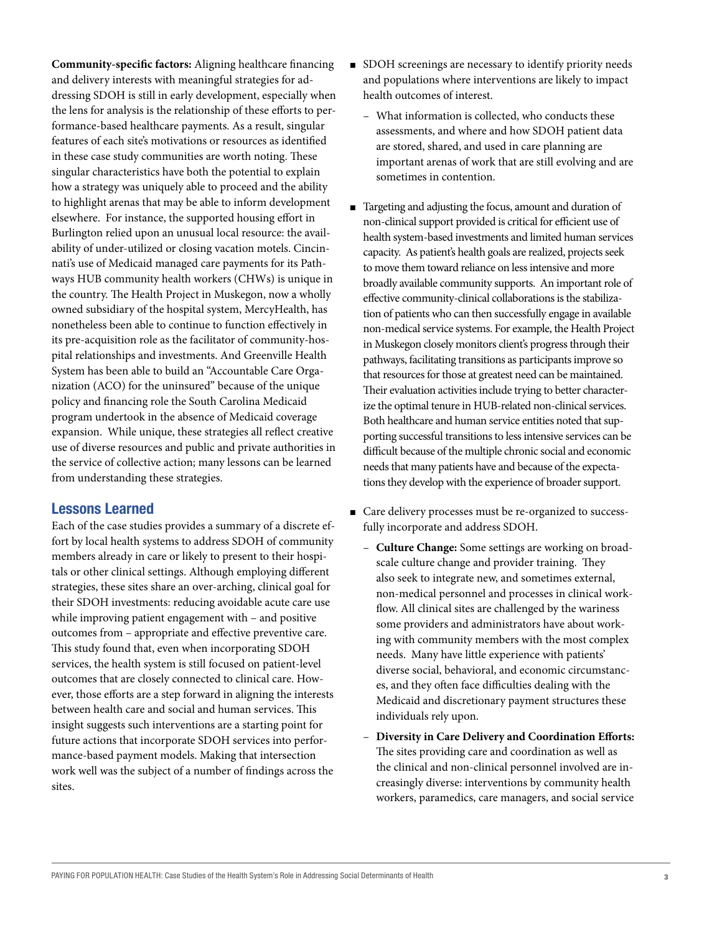**Community-specific factors:** Aligning healthcare financing and delivery interests with meaningful strategies for addressing SDOH is still in early development, especially when the lens for analysis is the relationship of these efforts to performance-based healthcare payments. As a result, singular features of each site's motivations or resources as identified in these case study communities are worth noting. These singular characteristics have both the potential to explain how a strategy was uniquely able to proceed and the ability to highlight arenas that may be able to inform development elsewhere. For instance, the supported housing effort in Burlington relied upon an unusual local resource: the availability of under-utilized or closing vacation motels. Cincinnati's use of Medicaid managed care payments for its Pathways HUB community health workers (CHWs) is unique in the country. The Health Project in Muskegon, now a wholly owned subsidiary of the hospital system, MercyHealth, has nonetheless been able to continue to function effectively in its pre-acquisition role as the facilitator of community-hospital relationships and investments. And Greenville Health System has been able to build an "Accountable Care Organization (ACO) for the uninsured" because of the unique policy and financing role the South Carolina Medicaid program undertook in the absence of Medicaid coverage expansion. While unique, these strategies all reflect creative use of diverse resources and public and private authorities in the service of collective action; many lessons can be learned from understanding these strategies.

#### Lessons Learned

Each of the case studies provides a summary of a discrete effort by local health systems to address SDOH of community members already in care or likely to present to their hospitals or other clinical settings. Although employing different strategies, these sites share an over-arching, clinical goal for their SDOH investments: reducing avoidable acute care use while improving patient engagement with – and positive outcomes from – appropriate and effective preventive care. This study found that, even when incorporating SDOH services, the health system is still focused on patient-level outcomes that are closely connected to clinical care. However, those efforts are a step forward in aligning the interests between health care and social and human services. This insight suggests such interventions are a starting point for future actions that incorporate SDOH services into performance-based payment models. Making that intersection work well was the subject of a number of findings across the sites.

- SDOH screenings are necessary to identify priority needs and populations where interventions are likely to impact health outcomes of interest.
	- What information is collected, who conducts these assessments, and where and how SDOH patient data are stored, shared, and used in care planning are important arenas of work that are still evolving and are sometimes in contention.
- Targeting and adjusting the focus, amount and duration of non-clinical support provided is critical for efficient use of health system-based investments and limited human services capacity. As patient's health goals are realized, projects seek to move them toward reliance on less intensive and more broadly available community supports. An important role of effective community-clinical collaborations is the stabilization of patients who can then successfully engage in available non-medical service systems. For example, the Health Project in Muskegon closely monitors client's progress through their pathways, facilitating transitions as participants improve so that resources for those at greatest need can be maintained. Their evaluation activities include trying to better characterize the optimal tenure in HUB-related non-clinical services. Both healthcare and human service entities noted that supporting successful transitions to less intensive services can be difficult because of the multiple chronic social and economic needs that many patients have and because of the expectations they develop with the experience of broader support.
- n Care delivery processes must be re-organized to successfully incorporate and address SDOH.
	- **Culture Change:** Some settings are working on broadscale culture change and provider training. They also seek to integrate new, and sometimes external, non-medical personnel and processes in clinical workflow. All clinical sites are challenged by the wariness some providers and administrators have about working with community members with the most complex needs. Many have little experience with patients' diverse social, behavioral, and economic circumstances, and they often face difficulties dealing with the Medicaid and discretionary payment structures these individuals rely upon.
	- **Diversity in Care Delivery and Coordination Efforts:** The sites providing care and coordination as well as the clinical and non-clinical personnel involved are increasingly diverse: interventions by community health workers, paramedics, care managers, and social service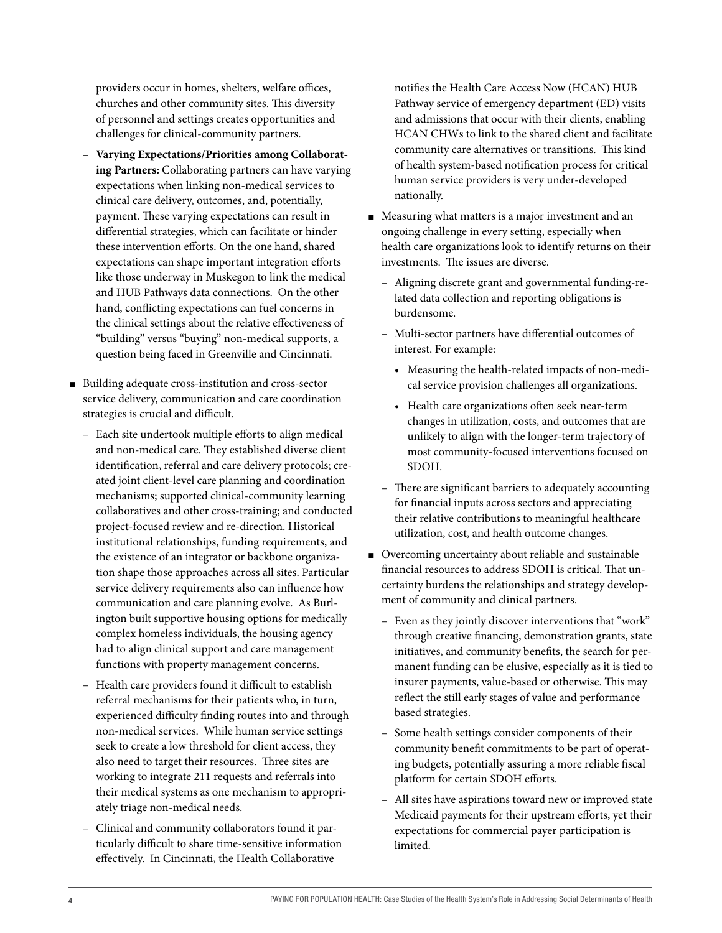providers occur in homes, shelters, welfare offices, churches and other community sites. This diversity of personnel and settings creates opportunities and challenges for clinical-community partners.

- **Varying Expectations/Priorities among Collaborating Partners:** Collaborating partners can have varying expectations when linking non-medical services to clinical care delivery, outcomes, and, potentially, payment. These varying expectations can result in differential strategies, which can facilitate or hinder these intervention efforts. On the one hand, shared expectations can shape important integration efforts like those underway in Muskegon to link the medical and HUB Pathways data connections. On the other hand, conflicting expectations can fuel concerns in the clinical settings about the relative effectiveness of "building" versus "buying" non-medical supports, a question being faced in Greenville and Cincinnati.
- Building adequate cross-institution and cross-sector service delivery, communication and care coordination strategies is crucial and difficult.
	- Each site undertook multiple efforts to align medical and non-medical care. They established diverse client identification, referral and care delivery protocols; created joint client-level care planning and coordination mechanisms; supported clinical-community learning collaboratives and other cross-training; and conducted project-focused review and re-direction. Historical institutional relationships, funding requirements, and the existence of an integrator or backbone organization shape those approaches across all sites. Particular service delivery requirements also can influence how communication and care planning evolve. As Burlington built supportive housing options for medically complex homeless individuals, the housing agency had to align clinical support and care management functions with property management concerns.
	- Health care providers found it difficult to establish referral mechanisms for their patients who, in turn, experienced difficulty finding routes into and through non-medical services. While human service settings seek to create a low threshold for client access, they also need to target their resources. Three sites are working to integrate 211 requests and referrals into their medical systems as one mechanism to appropriately triage non-medical needs.
	- Clinical and community collaborators found it particularly difficult to share time-sensitive information effectively. In Cincinnati, the Health Collaborative

notifies the Health Care Access Now (HCAN) HUB Pathway service of emergency department (ED) visits and admissions that occur with their clients, enabling HCAN CHWs to link to the shared client and facilitate community care alternatives or transitions. This kind of health system-based notification process for critical human service providers is very under-developed nationally.

- $\blacksquare$  Measuring what matters is a major investment and an ongoing challenge in every setting, especially when health care organizations look to identify returns on their investments. The issues are diverse.
	- Aligning discrete grant and governmental funding-related data collection and reporting obligations is burdensome.
	- Multi-sector partners have differential outcomes of interest. For example:
		- Measuring the health-related impacts of non-medical service provision challenges all organizations.
		- Health care organizations often seek near-term changes in utilization, costs, and outcomes that are unlikely to align with the longer-term trajectory of most community-focused interventions focused on SDOH.
	- There are significant barriers to adequately accounting for financial inputs across sectors and appreciating their relative contributions to meaningful healthcare utilization, cost, and health outcome changes.
- Overcoming uncertainty about reliable and sustainable financial resources to address SDOH is critical. That uncertainty burdens the relationships and strategy development of community and clinical partners.
	- Even as they jointly discover interventions that "work" through creative financing, demonstration grants, state initiatives, and community benefits, the search for permanent funding can be elusive, especially as it is tied to insurer payments, value-based or otherwise. This may reflect the still early stages of value and performance based strategies.
	- Some health settings consider components of their community benefit commitments to be part of operating budgets, potentially assuring a more reliable fiscal platform for certain SDOH efforts.
	- All sites have aspirations toward new or improved state Medicaid payments for their upstream efforts, yet their expectations for commercial payer participation is limited.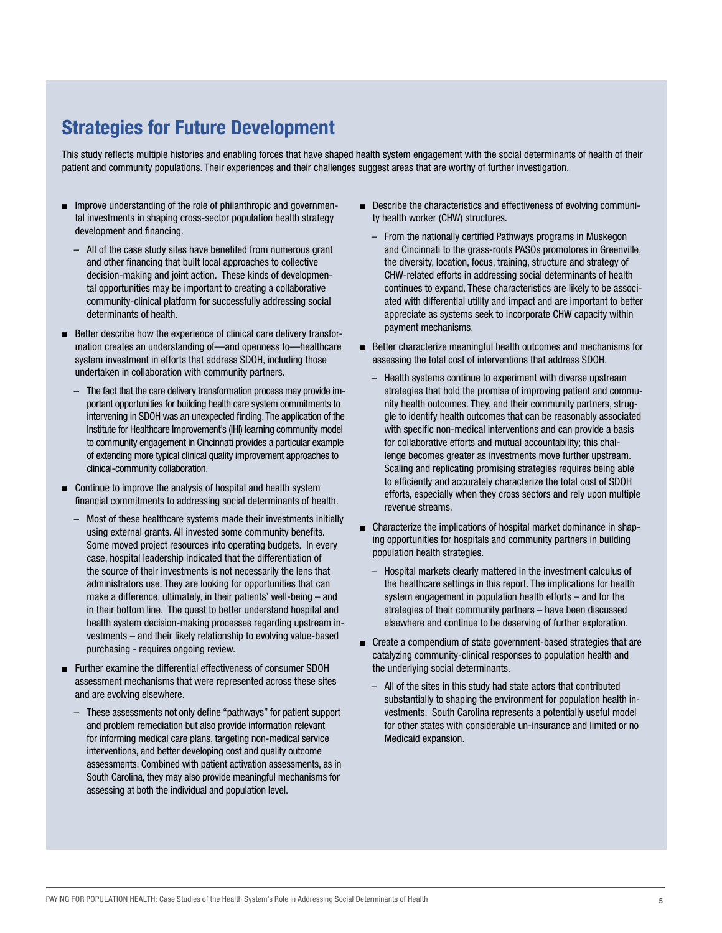# Strategies for Future Development

This study reflects multiple histories and enabling forces that have shaped health system engagement with the social determinants of health of their patient and community populations. Their experiences and their challenges suggest areas that are worthy of further investigation.

- $\blacksquare$  Improve understanding of the role of philanthropic and governmental investments in shaping cross-sector population health strategy development and financing.
	- All of the case study sites have benefited from numerous grant and other financing that built local approaches to collective decision-making and joint action. These kinds of developmental opportunities may be important to creating a collaborative community-clinical platform for successfully addressing social determinants of health.
- Better describe how the experience of clinical care delivery transformation creates an understanding of—and openness to—healthcare system investment in efforts that address SDOH, including those undertaken in collaboration with community partners.
	- The fact that the care delivery transformation process may provide important opportunities for building health care system commitments to intervening in SDOH was an unexpected finding. The application of the Institute for Healthcare Improvement's (IHI) learning community model to community engagement in Cincinnati provides a particular example of extending more typical clinical quality improvement approaches to clinical-community collaboration.
- $\blacksquare$  Continue to improve the analysis of hospital and health system financial commitments to addressing social determinants of health.
	- Most of these healthcare systems made their investments initially using external grants. All invested some community benefits. Some moved project resources into operating budgets. In every case, hospital leadership indicated that the differentiation of the source of their investments is not necessarily the lens that administrators use. They are looking for opportunities that can make a difference, ultimately, in their patients' well-being – and in their bottom line. The quest to better understand hospital and health system decision-making processes regarding upstream investments – and their likely relationship to evolving value-based purchasing - requires ongoing review.
- Further examine the differential effectiveness of consumer SDOH assessment mechanisms that were represented across these sites and are evolving elsewhere.
	- These assessments not only define "pathways" for patient support and problem remediation but also provide information relevant for informing medical care plans, targeting non-medical service interventions, and better developing cost and quality outcome assessments. Combined with patient activation assessments, as in South Carolina, they may also provide meaningful mechanisms for assessing at both the individual and population level.
- Describe the characteristics and effectiveness of evolving community health worker (CHW) structures.
	- From the nationally certified Pathways programs in Muskegon and Cincinnati to the grass-roots PASOs promotores in Greenville, the diversity, location, focus, training, structure and strategy of CHW-related efforts in addressing social determinants of health continues to expand. These characteristics are likely to be associated with differential utility and impact and are important to better appreciate as systems seek to incorporate CHW capacity within payment mechanisms.
- $\blacksquare$  Better characterize meaningful health outcomes and mechanisms for assessing the total cost of interventions that address SDOH.
	- Health systems continue to experiment with diverse upstream strategies that hold the promise of improving patient and community health outcomes. They, and their community partners, struggle to identify health outcomes that can be reasonably associated with specific non-medical interventions and can provide a basis for collaborative efforts and mutual accountability; this challenge becomes greater as investments move further upstream. Scaling and replicating promising strategies requires being able to efficiently and accurately characterize the total cost of SDOH efforts, especially when they cross sectors and rely upon multiple revenue streams.
- Characterize the implications of hospital market dominance in shaping opportunities for hospitals and community partners in building population health strategies.
	- Hospital markets clearly mattered in the investment calculus of the healthcare settings in this report. The implications for health system engagement in population health efforts – and for the strategies of their community partners – have been discussed elsewhere and continue to be deserving of further exploration.
- Create a compendium of state government-based strategies that are catalyzing community-clinical responses to population health and the underlying social determinants.
	- All of the sites in this study had state actors that contributed substantially to shaping the environment for population health investments. South Carolina represents a potentially useful model for other states with considerable un-insurance and limited or no Medicaid expansion.